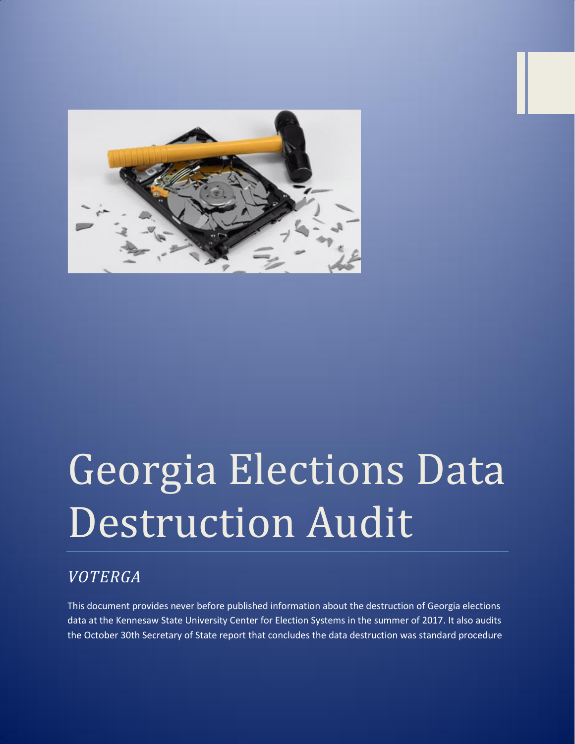

# Georgia Elections Data Destruction Audit

# *VOTERGA*

This document provides never before published information about the destruction of Georgia elections data at the Kennesaw State University Center for Election Systems in the summer of 2017. It also audits the October 30th Secretary of State report that concludes the data destruction was standard procedure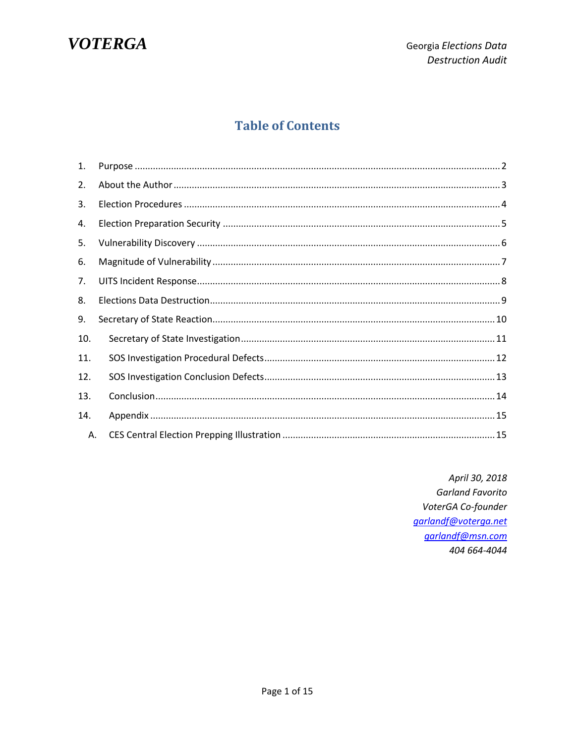

# **Table of Contents**

| 1.  |  |  |  |
|-----|--|--|--|
| 2.  |  |  |  |
| 3.  |  |  |  |
| 4.  |  |  |  |
| 5.  |  |  |  |
| 6.  |  |  |  |
| 7.  |  |  |  |
| 8.  |  |  |  |
| 9.  |  |  |  |
| 10. |  |  |  |
| 11. |  |  |  |
| 12. |  |  |  |
| 13. |  |  |  |
| 14. |  |  |  |
| А.  |  |  |  |

April 30, 2018 **Garland Favorito** VoterGA Co-founder garlandf@voterga.net garlandf@msn.com 404 664-4044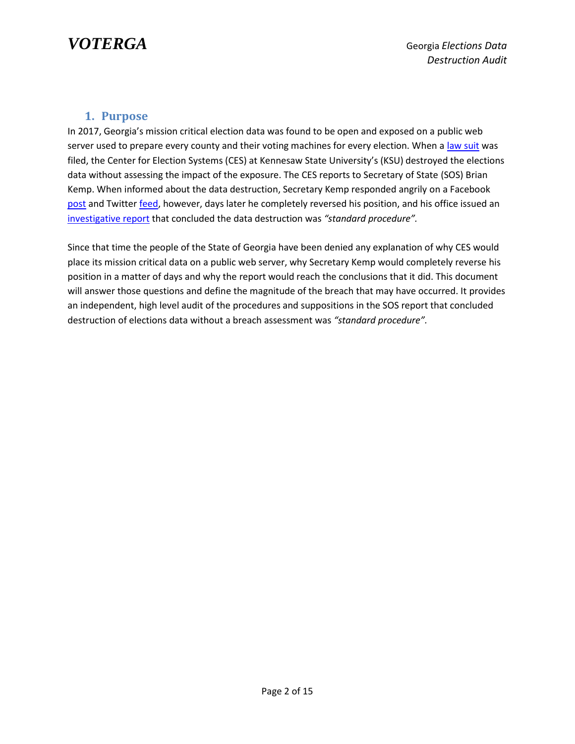

#### **1. Purpose**

<span id="page-2-0"></span>In 2017, Georgia's mission critical election data was found to be open and exposed on a public web server used to prepare every county and their voting machines for every election. When a [law suit](https://www.scribd.com/document/352858024/Curling-v-Kemp-2-Complaint-With-Verification-and-Exhibits) was filed, the Center for Election Systems (CES) at Kennesaw State University's (KSU) destroyed the elections data without assessing the impact of the exposure. The CES reports to Secretary of State (SOS) Brian Kemp. When informed about the data destruction, Secretary Kemp responded angrily on a Facebook [post](Facebook) and Twitter [feed,](https://voterga.files.wordpress.com/2018/04/kemp-ksu-ces-twitter-rant.jpg) however, days later he completely reversed his position, and his office issued an [investigative report](https://voterga.files.wordpress.com/2018/04/sos-investigation-report-of-ksu-server-wipe.pdf) that concluded the data destruction was *"standard procedure".*

Since that time the people of the State of Georgia have been denied any explanation of why CES would place its mission critical data on a public web server, why Secretary Kemp would completely reverse his position in a matter of days and why the report would reach the conclusions that it did. This document will answer those questions and define the magnitude of the breach that may have occurred. It provides an independent, high level audit of the procedures and suppositions in the SOS report that concluded destruction of elections data without a breach assessment was *"standard procedure".*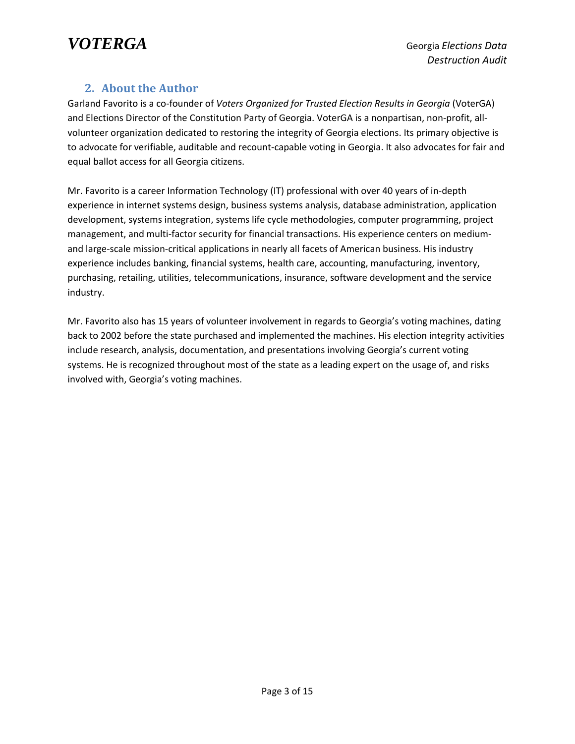

#### **2. About the Author**

<span id="page-3-0"></span>Garland Favorito is a co-founder of *Voters Organized for Trusted Election Results in Georgia* (VoterGA) and Elections Director of the Constitution Party of Georgia. VoterGA is a nonpartisan, non-profit, allvolunteer organization dedicated to restoring the integrity of Georgia elections. Its primary objective is to advocate for verifiable, auditable and recount-capable voting in Georgia. It also advocates for fair and equal ballot access for all Georgia citizens.

Mr. Favorito is a career Information Technology (IT) professional with over 40 years of in-depth experience in internet systems design, business systems analysis, database administration, application development, systems integration, systems life cycle methodologies, computer programming, project management, and multi-factor security for financial transactions. His experience centers on mediumand large-scale mission-critical applications in nearly all facets of American business. His industry experience includes banking, financial systems, health care, accounting, manufacturing, inventory, purchasing, retailing, utilities, telecommunications, insurance, software development and the service industry.

Mr. Favorito also has 15 years of volunteer involvement in regards to Georgia's voting machines, dating back to 2002 before the state purchased and implemented the machines. His election integrity activities include research, analysis, documentation, and presentations involving Georgia's current voting systems. He is recognized throughout most of the state as a leading expert on the usage of, and risks involved with, Georgia's voting machines.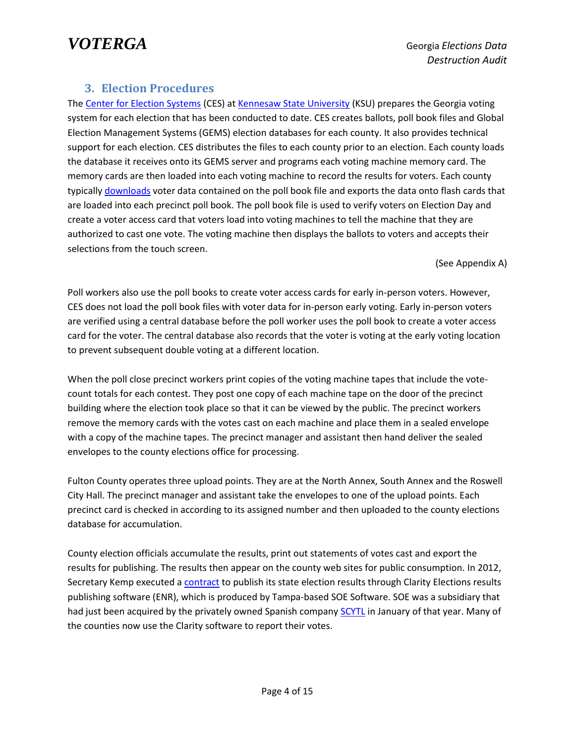### **3. Election Procedures**

<span id="page-4-0"></span>The [Center for Election Systems](http://elections.kennesaw.edu/) (CES) a[t Kennesaw State University](http://kennesaw.edu/) (KSU) prepares the Georgia voting system for each election that has been conducted to date. CES creates ballots, poll book files and Global Election Management Systems (GEMS) election databases for each county. It also provides technical support for each election. CES distributes the files to each county prior to an election. Each county loads the database it receives onto its GEMS server and programs each voting machine memory card. The memory cards are then loaded into each voting machine to record the results for voters. Each county typicall[y downloads](https://voterga.files.wordpress.com/2018/04/center-for-election-systems-twitter-feed.jpg) voter data contained on the poll book file and exports the data onto flash cards that are loaded into each precinct poll book. The poll book file is used to verify voters on Election Day and create a voter access card that voters load into voting machines to tell the machine that they are authorized to cast one vote. The voting machine then displays the ballots to voters and accepts their selections from the touch screen.

(See Appendix A)

Poll workers also use the poll books to create voter access cards for early in-person voters. However, CES does not load the poll book files with voter data for in-person early voting. Early in-person voters are verified using a central database before the poll worker uses the poll book to create a voter access card for the voter. The central database also records that the voter is voting at the early voting location to prevent subsequent double voting at a different location.

When the poll close precinct workers print copies of the voting machine tapes that include the votecount totals for each contest. They post one copy of each machine tape on the door of the precinct building where the election took place so that it can be viewed by the public. The precinct workers remove the memory cards with the votes cast on each machine and place them in a sealed envelope with a copy of the machine tapes. The precinct manager and assistant then hand deliver the sealed envelopes to the county elections office for processing.

Fulton County operates three upload points. They are at the North Annex, South Annex and the Roswell City Hall. The precinct manager and assistant take the envelopes to one of the upload points. Each precinct card is checked in according to its assigned number and then uploaded to the county elections database for accumulation.

County election officials accumulate the results, print out statements of votes cast and export the results for publishing. The results then appear on the county web sites for public consumption. In 2012, Secretary Kemp executed a [contract](https://voterga.files.wordpress.com/2018/04/sos-ces-contact.pdf) to publish its state election results through Clarity Elections results publishing software (ENR), which is produced by Tampa-based SOE Software. SOE was a subsidiary that had just been acquired by the privately owned Spanish company [SCYTL](https://www.scytl.com/en/) in January of that year. Many of the counties now use the Clarity software to report their votes.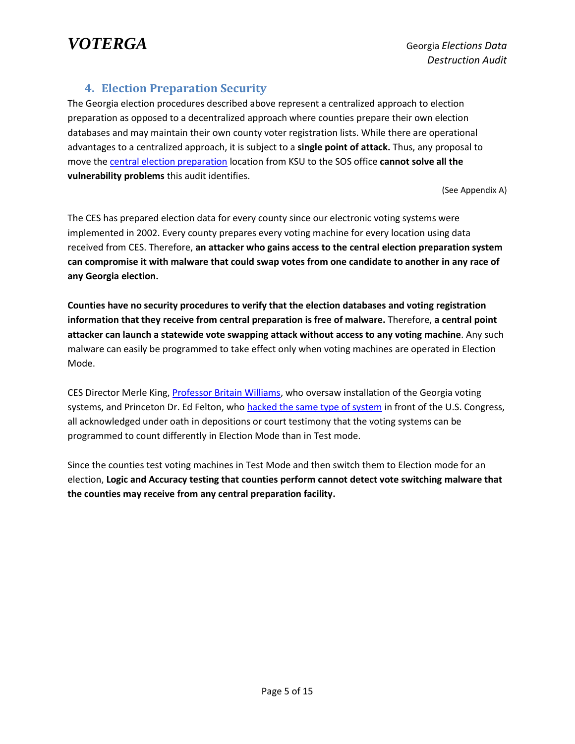

#### **4. Election Preparation Security**

<span id="page-5-0"></span>The Georgia election procedures described above represent a centralized approach to election preparation as opposed to a decentralized approach where counties prepare their own election databases and may maintain their own county voter registration lists. While there are operational advantages to a centralized approach, it is subject to a **single point of attack.** Thus, any proposal to move the [central election preparation](https://voterga.files.wordpress.com/2018/04/central-prep-diagram.pdf) location from KSU to the SOS office **cannot solve all the vulnerability problems** this audit identifies.

(See Appendix A)

The CES has prepared election data for every county since our electronic voting systems were implemented in 2002. Every county prepares every voting machine for every location using data received from CES. Therefore, **an attacker who gains access to the central election preparation system can compromise it with malware that could swap votes from one candidate to another in any race of any Georgia election.**

**Counties have no security procedures to verify that the election databases and voting registration information that they receive from central preparation is free of malware.** Therefore, **a central point attacker can launch a statewide vote swapping attack without access to any voting machine**. Any such malware can easily be programmed to take effect only when voting machines are operated in Election Mode.

CES Director Merle King, [Professor Britain Williams,](https://voterga.files.wordpress.com/2017/09/britain-wiliams-deposition-admissions.pdf) who oversaw installation of the Georgia voting systems, and Princeton Dr. Ed Felton, who hacked the [same type of system](https://www.bing.com/videos/search?q=FELTEN+HOUSE+DIEBOLD&&view=detail&mid=863A23834F2E01797F4D863A23834F2E01797F4D&&FORM=VRDGAR) in front of the U.S. Congress, all acknowledged under oath in depositions or court testimony that the voting systems can be programmed to count differently in Election Mode than in Test mode.

Since the counties test voting machines in Test Mode and then switch them to Election mode for an election, **Logic and Accuracy testing that counties perform cannot detect vote switching malware that the counties may receive from any central preparation facility.**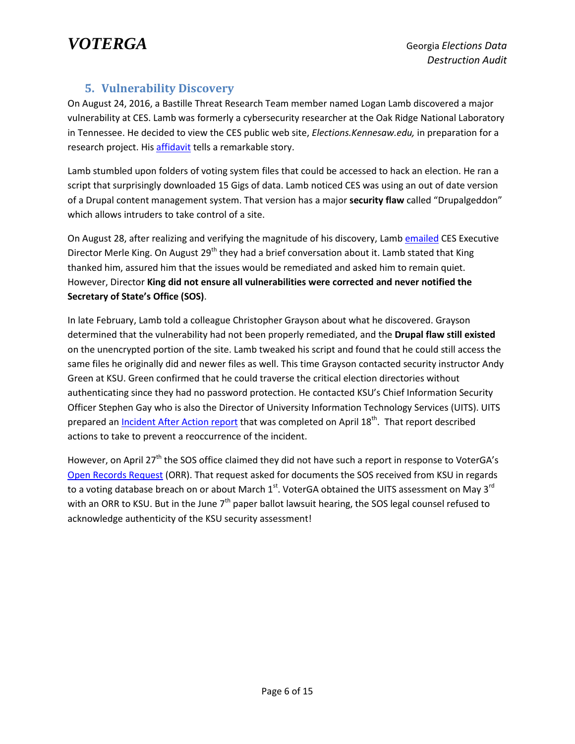#### **5. Vulnerability Discovery**

<span id="page-6-0"></span>On August 24, 2016, a Bastille Threat Research Team member named Logan Lamb discovered a major vulnerability at CES. Lamb was formerly a cybersecurity researcher at the Oak Ridge National Laboratory in Tennessee. He decided to view the CES public web site, *Elections.Kennesaw.edu,* in preparation for a research project. Hi[s affidavit](https://voterga.files.wordpress.com/2018/04/logan-lamb-affidavit.pdf) tells a remarkable story.

Lamb stumbled upon folders of voting system files that could be accessed to hack an election. He ran a script that surprisingly downloaded 15 Gigs of data. Lamb noticed CES was using an out of date version of a Drupal content management system. That version has a major **security flaw** called "Drupalgeddon" which allows intruders to take control of a site.

On August 28, after realizing and verifying the magnitude of his discovery, Lam[b emailed](https://voterga.files.wordpress.com/2018/04/logan-lamb-to-merle-king.pdf) CES Executive Director Merle King. On August 29<sup>th</sup> they had a brief conversation about it. Lamb stated that King thanked him, assured him that the issues would be remediated and asked him to remain quiet. However, Director **King did not ensure all vulnerabilities were corrected and never notified the Secretary of State's Office (SOS)**.

In late February, Lamb told a colleague Christopher Grayson about what he discovered. Grayson determined that the vulnerability had not been properly remediated, and the **Drupal flaw still existed** on the unencrypted portion of the site. Lamb tweaked his script and found that he could still access the same files he originally did and newer files as well. This time Grayson contacted security instructor Andy Green at KSU. Green confirmed that he could traverse the critical election directories without authenticating since they had no password protection. He contacted KSU's Chief Information Security Officer Stephen Gay who is also the Director of University Information Technology Services (UITS). UITS prepared an <u>[Incident After Action report](https://voterga.files.wordpress.com/2017/06/ksu-hack-study.pdf)</u> that was completed on April 18<sup>th</sup>. That report described actions to take to prevent a reoccurrence of the incident.

However, on April 27<sup>th</sup> the SOS office claimed they did not have such a report in response to VoterGA's [Open Records Request](https://voterga.files.wordpress.com/2017/06/sos-ksu-breech-response-4-27-17.pdf) (ORR). That request asked for documents the SOS received from KSU in regards to a voting database breach on or about March  $1<sup>st</sup>$ . VoterGA obtained the UITS assessment on May 3<sup>rd</sup> with an ORR to KSU. But in the June  $7<sup>th</sup>$  paper ballot lawsuit hearing, the SOS legal counsel refused to acknowledge authenticity of the KSU security assessment!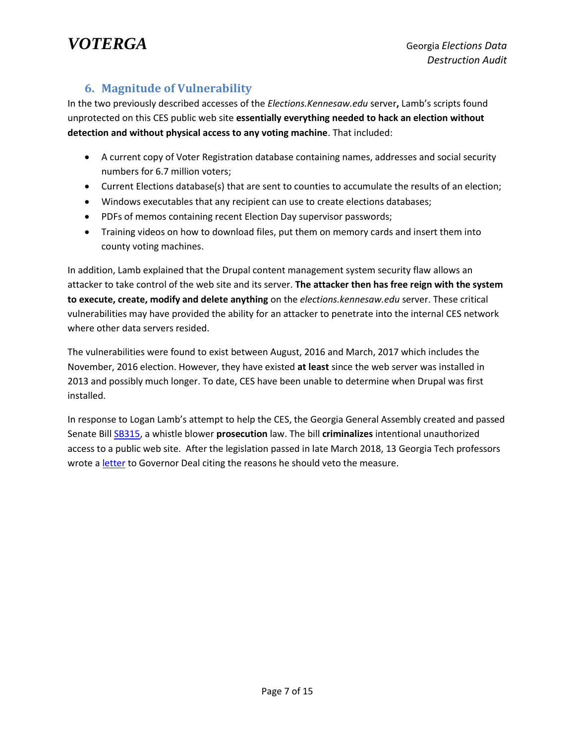*VOTERGA* Georgia *Elections Data* 

### **6. Magnitude of Vulnerability**

<span id="page-7-0"></span>In the two previously described accesses of the *Elections.Kennesaw.edu* server**,** Lamb's scripts found unprotected on this CES public web site **essentially everything needed to hack an election without detection and without physical access to any voting machine**. That included:

- A current copy of Voter Registration database containing names, addresses and social security numbers for 6.7 million voters;
- Current Elections database(s) that are sent to counties to accumulate the results of an election;
- Windows executables that any recipient can use to create elections databases;
- PDFs of memos containing recent Election Day supervisor passwords;
- Training videos on how to download files, put them on memory cards and insert them into county voting machines.

In addition, Lamb explained that the Drupal content management system security flaw allows an attacker to take control of the web site and its server. **The attacker then has free reign with the system to execute, create, modify and delete anything** on the *elections.kennesaw.edu* server. These critical vulnerabilities may have provided the ability for an attacker to penetrate into the internal CES network where other data servers resided.

The vulnerabilities were found to exist between August, 2016 and March, 2017 which includes the November, 2016 election. However, they have existed **at least** since the web server was installed in 2013 and possibly much longer. To date, CES have been unable to determine when Drupal was first installed.

In response to Logan Lamb's attempt to help the CES, the Georgia General Assembly created and passed Senate Bill [SB315,](http://www.legis.ga.gov/legislation/en-US/Display/20172018/SB/315) a whistle blower **prosecution** law. The bill **criminalizes** intentional unauthorized access to a public web site. After the legislation passed in late March 2018, 13 Georgia Tech professors wrote a [letter](https://voterga.files.wordpress.com/2018/04/sb315-ga-tech-letter-to-gov-deal.pdf) to Governor Deal citing the reasons he should veto the measure.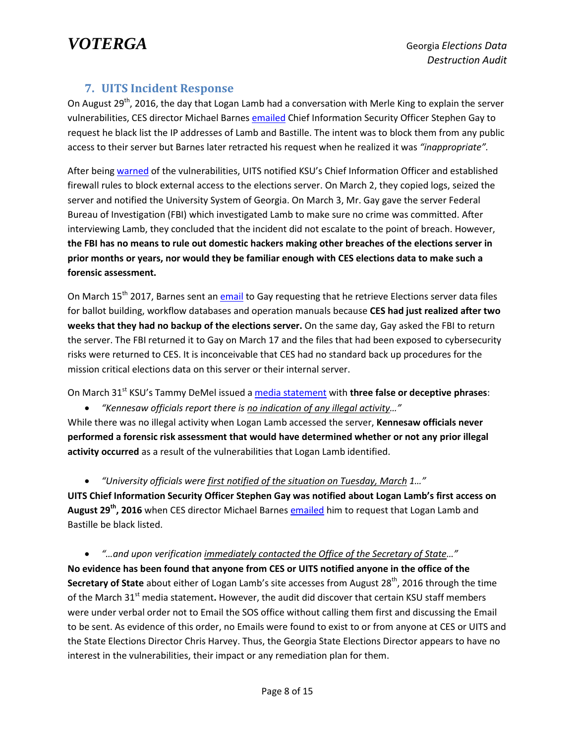#### **7. UITS Incident Response**

<span id="page-8-0"></span>On August 29<sup>th</sup>, 2016, the day that Logan Lamb had a conversation with Merle King to explain the server vulnerabilities, CES director Michael Barnes [emailed](https://voterga.files.wordpress.com/2018/04/barnes-black-list-logan-request.pdf) Chief Information Security Officer Stephen Gay to request he black list the IP addresses of Lamb and Bastille. The intent was to block them from any public access to their server but Barnes later retracted his request when he realized it was *"inappropriate".*

After bein[g warned](https://voterga.files.wordpress.com/2017/06/ksu-hack-study.pdf) of the vulnerabilities, UITS notified KSU's Chief Information Officer and established firewall rules to block external access to the elections server. On March 2, they copied logs, seized the server and notified the University System of Georgia. On March 3, Mr. Gay gave the server Federal Bureau of Investigation (FBI) which investigated Lamb to make sure no crime was committed. After interviewing Lamb, they concluded that the incident did not escalate to the point of breach. However, **the FBI has no means to rule out domestic hackers making other breaches of the elections server in prior months or years, nor would they be familiar enough with CES elections data to make such a forensic assessment.**

On March 15<sup>th</sup> 2017, Barnes sent an *email* to Gay requesting that he retrieve Elections server data files for ballot building, workflow databases and operation manuals because **CES had just realized after two weeks that they had no backup of the elections server.** On the same day, Gay asked the FBI to return the server. The FBI returned it to Gay on March 17 and the files that had been exposed to cybersecurity risks were returned to CES. It is inconceivable that CES had no standard back up procedures for the mission critical elections data on this server or their internal server.

On March 31<sup>st</sup> KSU's Tammy DeMel issued a media [statement](https://voterga.files.wordpress.com/2018/04/ksu-statement-on-breach.pdf) with **three false or deceptive phrases**:

*"Kennesaw officials report there is no indication of any illegal activity…"*

While there was no illegal activity when Logan Lamb accessed the server, **Kennesaw officials never performed a forensic risk assessment that would have determined whether or not any prior illegal activity occurred** as a result of the vulnerabilities that Logan Lamb identified.

*"University officials were first notified of the situation on Tuesday, March 1…"*

**UITS Chief Information Security Officer Stephen Gay was notified about Logan Lamb's first access on August 29th, 2016** when CES director Michael Barnes [emailed](https://voterga.files.wordpress.com/2018/04/barnes-black-list-logan-request.pdf) him to request that Logan Lamb and Bastille be black listed.

 *"…and upon verification immediately contacted the Office of the Secretary of State…"* **No evidence has been found that anyone from CES or UITS notified anyone in the office of the Secretary of State** about either of Logan Lamb's site accesses from August 28<sup>th</sup>, 2016 through the time of the March 31<sup>st</sup> media statement. However, the audit did discover that certain KSU staff members were under verbal order not to Email the SOS office without calling them first and discussing the Email to be sent. As evidence of this order, no Emails were found to exist to or from anyone at CES or UITS and the State Elections Director Chris Harvey. Thus, the Georgia State Elections Director appears to have no interest in the vulnerabilities, their impact or any remediation plan for them.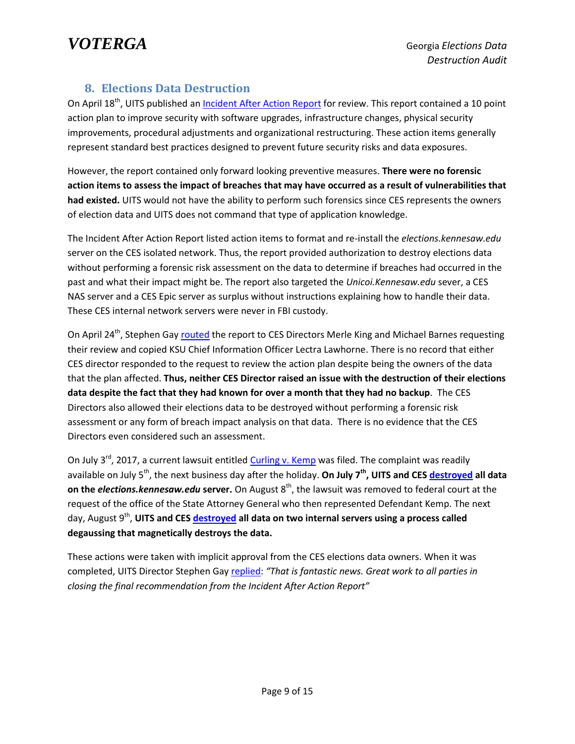## **8. Elections Data Destruction**

<span id="page-9-0"></span>On April 18<sup>th</sup>, UITS published an *Incident [After Action Report](https://voterga.files.wordpress.com/2017/06/ksu-hack-study.pdf)* for review. This report contained a 10 point action plan to improve security with software upgrades, infrastructure changes, physical security improvements, procedural adjustments and organizational restructuring. These action items generally represent standard best practices designed to prevent future security risks and data exposures.

However, the report contained only forward looking preventive measures. **There were no forensic action items to assess the impact of breaches that may have occurred as a result of vulnerabilities that had existed.** UITS would not have the ability to perform such forensics since CES represents the owners of election data and UITS does not command that type of application knowledge.

The Incident After Action Report listed action items to format and re-install the *elections.kennesaw.edu* server on the CES isolated network. Thus, the report provided authorization to destroy elections data without performing a forensic risk assessment on the data to determine if breaches had occurred in the past and what their impact might be. The report also targeted the *Unicoi.Kennesaw.edu* sever, a CES NAS server and a CES Epic server as surplus without instructions explaining how to handle their data. These CES internal network servers were never in FBI custody.

On April 24<sup>th</sup>, Stephen Gay **routed** the report to CES Directors Merle King and Michael Barnes requesting their review and copied KSU Chief Information Officer Lectra Lawhorne. There is no record that either CES director responded to the request to review the action plan despite being the owners of the data that the plan affected. **Thus, neither CES Director raised an issue with the destruction of their elections data despite the fact that they had known for over a month that they had no backup**. The CES Directors also allowed their elections data to be destroyed without performing a forensic risk assessment or any form of breach impact analysis on that data. There is no evidence that the CES Directors even considered such an assessment.

On July 3<sup>rd</sup>, 2017, a current lawsuit entitled [Curling v. Kemp](https://www.scribd.com/document/352858024/Curling-v-Kemp-2-Complaint-With-Verification-and-Exhibits) was filed. The complaint was readily available on July 5<sup>th</sup>, the next business day after the holiday. **On July 7<sup>th</sup>, UITS and CES <u>destroyed</u> all data on the** *elections.kennesaw.edu* **server.** On August 8<sup>th</sup>, the lawsuit was removed to federal court at the request of the office of the State Attorney General who then represented Defendant Kemp. The next day, August 9th , **UITS and CES [destroyed](https://voterga.files.wordpress.com/2018/04/degaussed-unicoi-server.pdf) all data on two internal servers using a process called degaussing that magnetically destroys the data.**

These actions were taken with implicit approval from the CES elections data owners. When it was completed, UITS Director Stephen Gay [replied:](https://voterga.files.wordpress.com/2018/04/degaussed-unicoi-server.pdf) *"That is fantastic news. Great work to all parties in closing the final recommendation from the Incident After Action Report"*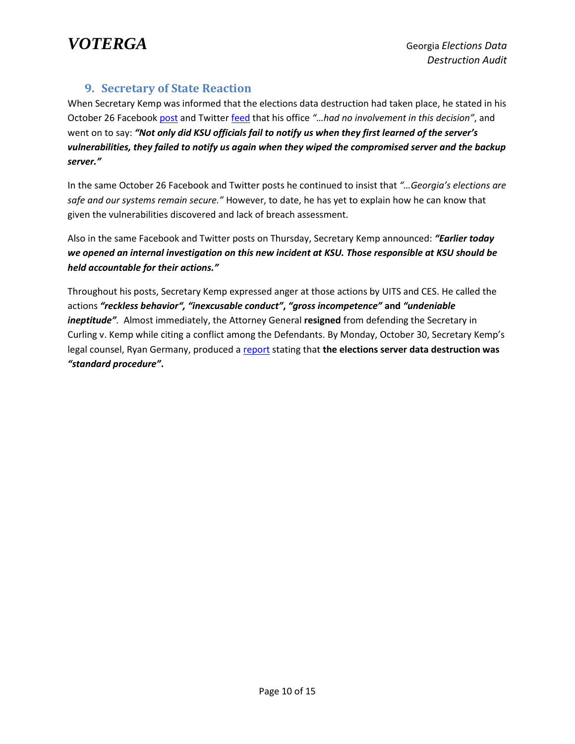

#### **9. Secretary of State Reaction**

<span id="page-10-0"></span>When Secretary Kemp was informed that the elections data destruction had taken place, he stated in his October 26 Facebook [post](https://voterga.files.wordpress.com/2018/04/kemp-ksu-ces-facebook-rant.jpg) and Twitter [feed](https://voterga.files.wordpress.com/2018/04/kemp-ksu-ces-twitter-rant.jpg) that his office *"…had no involvement in this decision"*, and went on to say: *"Not only did KSU officials fail to notify us when they first learned of the server's vulnerabilities, they failed to notify us again when they wiped the compromised server and the backup server."*

In the same October 26 Facebook and Twitter posts he continued to insist that *"…Georgia's elections are safe and our systems remain secure."* However, to date, he has yet to explain how he can know that given the vulnerabilities discovered and lack of breach assessment.

Also in the same Facebook and Twitter posts on Thursday, Secretary Kemp announced: *"Earlier today we opened an internal investigation on this new incident at KSU. Those responsible at KSU should be held accountable for their actions."*

Throughout his posts, Secretary Kemp expressed anger at those actions by UITS and CES. He called the actions *"reckless behavior", "inexcusable conduct"***,** *"gross incompetence"* **and** *"undeniable ineptitude".* Almost immediately, the Attorney General **resigned** from defending the Secretary in Curling v. Kemp while citing a conflict among the Defendants. By Monday, October 30, Secretary Kemp's legal counsel, Ryan Germany, produced a [report](https://voterga.files.wordpress.com/2018/04/sos-investigation-report-of-ksu-server-wipe.pdf) stating that **the elections server data destruction was**  *"standard procedure"***.**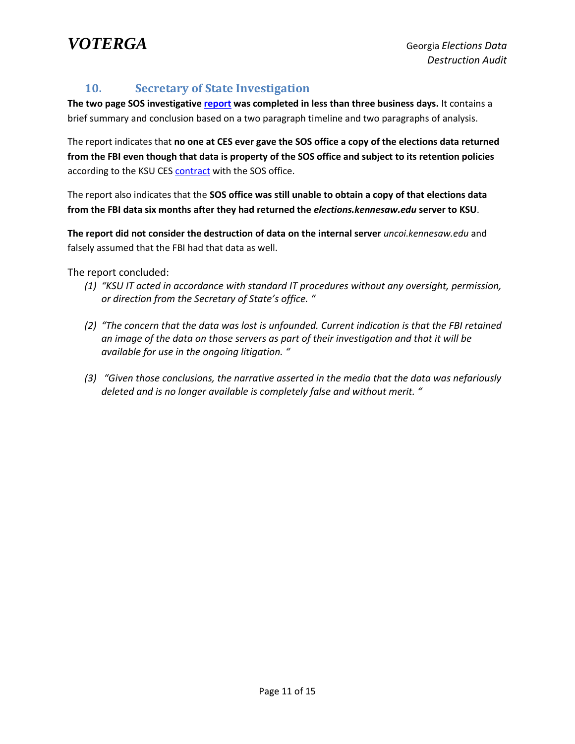

#### <span id="page-11-0"></span>**10. Secretary of State Investigation**

**The two page SOS investigative [report](https://voterga.files.wordpress.com/2018/04/sos-investigation-report-of-ksu-server-wipe.pdf) was completed in less than three business days.** It contains a brief summary and conclusion based on a two paragraph timeline and two paragraphs of analysis.

The report indicates that **no one at CES ever gave the SOS office a copy of the elections data returned from the FBI even though that data is property of the SOS office and subject to its retention policies** according to the KSU CE[S contract](https://voterga.files.wordpress.com/2018/04/sos-ces-contact.pdf) with the SOS office.

The report also indicates that the **SOS office was still unable to obtain a copy of that elections data from the FBI data six months after they had returned the** *elections.kennesaw.edu* **server to KSU**.

**The report did not consider the destruction of data on the internal server** *uncoi.kennesaw.edu* and falsely assumed that the FBI had that data as well.

The report concluded:

- *(1) "KSU IT acted in accordance with standard IT procedures without any oversight, permission, or direction from the Secretary of State's office. "*
- *(2) "The concern that the data was lost is unfounded. Current indication is that the FBI retained an image of the data on those servers as part of their investigation and that it will be available for use in the ongoing litigation. "*
- *(3) "Given those conclusions, the narrative asserted in the media that the data was nefariously deleted and is no longer available is completely false and without merit. "*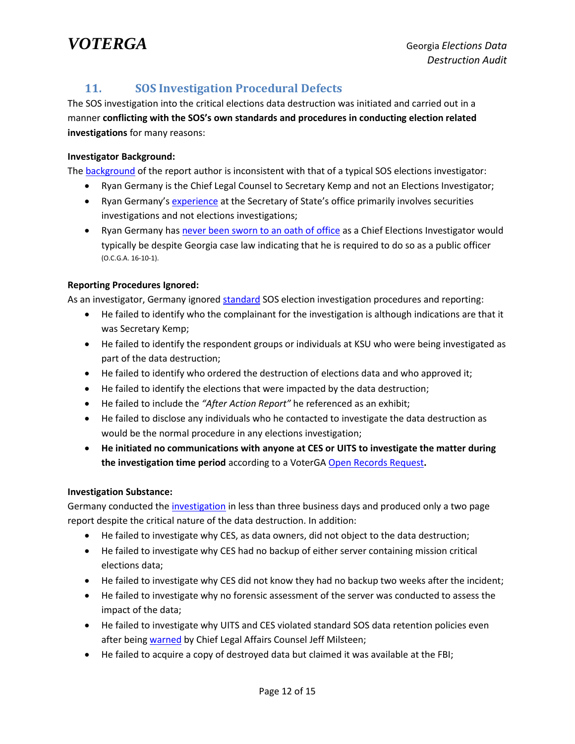# *VOTERGA* Georgia *Elections Data*

## <span id="page-12-0"></span>**11. SOS Investigation Procedural Defects**

The SOS investigation into the critical elections data destruction was initiated and carried out in a manner **conflicting with the SOS's own standards and procedures in conducting election related investigations** for many reasons:

#### **Investigator Background:**

The [background](https://voterga.files.wordpress.com/2018/04/ryan-germany-profile.jpg) of the report author is inconsistent with that of a typical SOS elections investigator:

- Ryan Germany is the Chief Legal Counsel to Secretary Kemp and not an Elections Investigator;
- Ryan Germany's [experience](https://voterga.files.wordpress.com/2018/04/sos-kemp-org-chart.jpg) at the Secretary of State's office primarily involves securities investigations and not elections investigations;
- Ryan Germany has [never been sworn to an](https://voterga.files.wordpress.com/2018/04/ryan-germany-no-oath.jpg) oath of office as a Chief Elections Investigator would typically be despite Georgia case law indicating that he is required to do so as a public officer (O.C.G.A. 16-10-1).

#### **Reporting Procedures Ignored:**

As an investigator, Germany ignore[d standard](https://voterga.files.wordpress.com/2018/04/douglas-county-2008-136.pdf) SOS election investigation procedures and reporting:

- He failed to identify who the complainant for the investigation is although indications are that it was Secretary Kemp;
- He failed to identify the respondent groups or individuals at KSU who were being investigated as part of the data destruction;
- He failed to identify who ordered the destruction of elections data and who approved it;
- He failed to identify the elections that were impacted by the data destruction;
- He failed to include the *"After Action Report"* he referenced as an exhibit;
- He failed to disclose any individuals who he contacted to investigate the data destruction as would be the normal procedure in any elections investigation;
- **He initiated no communications with anyone at CES or UITS to investigate the matter during the investigation time period** according to a VoterGA [Open Records Request](https://voterga.files.wordpress.com/2018/04/ryan-germany-ksu-investigation-orr-confirmation.jpg)**.**

#### **Investigation Substance:**

Germany conducted the [investigation](https://voterga.files.wordpress.com/2018/04/sos-investigation-report-of-ksu-server-wipe.pdf) in less than three business days and produced only a two page report despite the critical nature of the data destruction. In addition:

- He failed to investigate why CES, as data owners, did not object to the data destruction;
- He failed to investigate why CES had no backup of either server containing mission critical elections data;
- He failed to investigate why CES did not know they had no backup two weeks after the incident;
- He failed to investigate why no forensic assessment of the server was conducted to assess the impact of the data;
- He failed to investigate why UITS and CES violated standard SOS data retention policies even after bein[g warned](https://voterga.files.wordpress.com/2018/04/milsteen-retention-email.pdf) by Chief Legal Affairs Counsel Jeff Milsteen;
- He failed to acquire a copy of destroyed data but claimed it was available at the FBI;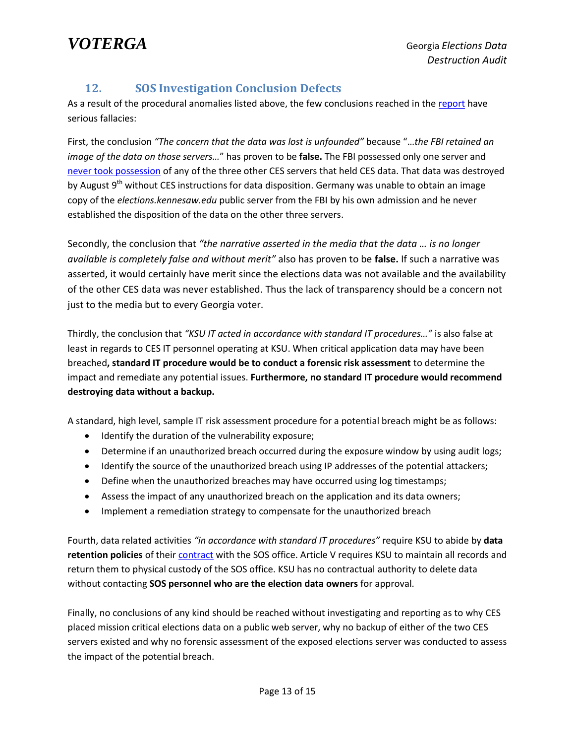*VOTERGA* Georgia *Elections Data* 

### **12. SOS Investigation Conclusion Defects**

<span id="page-13-0"></span>As a result of the procedural anomalies listed above, the few conclusions reached in th[e report](https://voterga.files.wordpress.com/2018/04/sos-investigation-report-of-ksu-server-wipe.pdf) have serious fallacies:

First, the conclusion *"The concern that the data was lost is unfounded"* because "…*the FBI retained an image of the data on those servers…*" has proven to be **false.** The FBI possessed only one server and [never took possession](https://voterga.files.wordpress.com/2018/04/fbi-server-evidence.pdf) of any of the three other CES servers that held CES data. That data was destroyed by August 9<sup>th</sup> without CES instructions for data disposition. Germany was unable to obtain an image copy of the *elections.kennesaw.edu* public server from the FBI by his own admission and he never established the disposition of the data on the other three servers.

Secondly, the conclusion that *"the narrative asserted in the media that the data … is no longer available is completely false and without merit"* also has proven to be **false.** If such a narrative was asserted, it would certainly have merit since the elections data was not available and the availability of the other CES data was never established. Thus the lack of transparency should be a concern not just to the media but to every Georgia voter.

Thirdly, the conclusion that *"KSU IT acted in accordance with standard IT procedures…"* is also false at least in regards to CES IT personnel operating at KSU. When critical application data may have been breached**, standard IT procedure would be to conduct a forensic risk assessment** to determine the impact and remediate any potential issues. **Furthermore, no standard IT procedure would recommend destroying data without a backup.**

A standard, high level, sample IT risk assessment procedure for a potential breach might be as follows:

- Identify the duration of the vulnerability exposure;
- Determine if an unauthorized breach occurred during the exposure window by using audit logs;
- Identify the source of the unauthorized breach using IP addresses of the potential attackers;
- Define when the unauthorized breaches may have occurred using log timestamps;
- Assess the impact of any unauthorized breach on the application and its data owners;
- Implement a remediation strategy to compensate for the unauthorized breach

Fourth, data related activities *"in accordance with standard IT procedures"* require KSU to abide by **data retention policies** of their [contract](https://voterga.files.wordpress.com/2018/04/sos-ces-contact.pdf) with the SOS office. Article V requires KSU to maintain all records and return them to physical custody of the SOS office. KSU has no contractual authority to delete data without contacting **SOS personnel who are the election data owners** for approval.

Finally, no conclusions of any kind should be reached without investigating and reporting as to why CES placed mission critical elections data on a public web server, why no backup of either of the two CES servers existed and why no forensic assessment of the exposed elections server was conducted to assess the impact of the potential breach.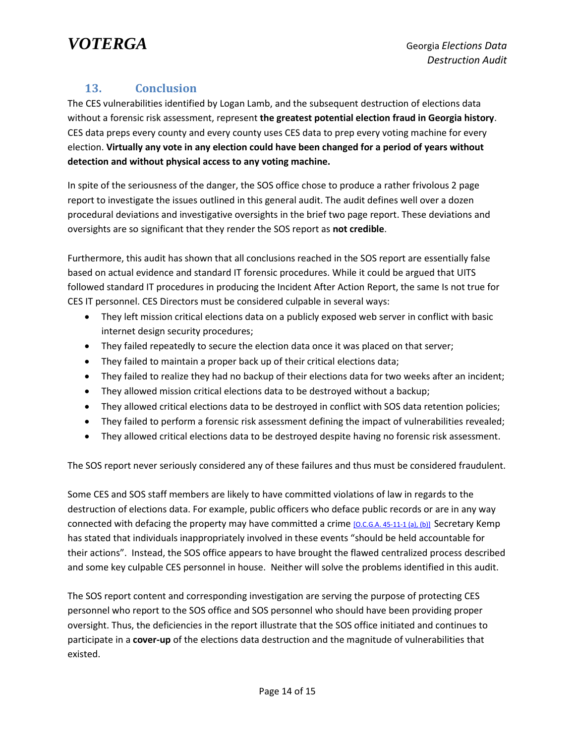## <span id="page-14-0"></span>**13. Conclusion**

The CES vulnerabilities identified by Logan Lamb, and the subsequent destruction of elections data without a forensic risk assessment, represent **the greatest potential election fraud in Georgia history**. CES data preps every county and every county uses CES data to prep every voting machine for every election. **Virtually any vote in any election could have been changed for a period of years without detection and without physical access to any voting machine.**

In spite of the seriousness of the danger, the SOS office chose to produce a rather frivolous 2 page report to investigate the issues outlined in this general audit. The audit defines well over a dozen procedural deviations and investigative oversights in the brief two page report. These deviations and oversights are so significant that they render the SOS report as **not credible**.

Furthermore, this audit has shown that all conclusions reached in the SOS report are essentially false based on actual evidence and standard IT forensic procedures. While it could be argued that UITS followed standard IT procedures in producing the Incident After Action Report, the same Is not true for CES IT personnel. CES Directors must be considered culpable in several ways:

- They left mission critical elections data on a publicly exposed web server in conflict with basic internet design security procedures;
- They failed repeatedly to secure the election data once it was placed on that server;
- They failed to maintain a proper back up of their critical elections data;
- They failed to realize they had no backup of their elections data for two weeks after an incident;
- They allowed mission critical elections data to be destroyed without a backup;
- They allowed critical elections data to be destroyed in conflict with SOS data retention policies;
- They failed to perform a forensic risk assessment defining the impact of vulnerabilities revealed;
- They allowed critical elections data to be destroyed despite having no forensic risk assessment.

The SOS report never seriously considered any of these failures and thus must be considered fraudulent.

Some CES and SOS staff members are likely to have committed violations of law in regards to the destruction of elections data. For example, public officers who deface public records or are in any way connected with defacing the property may have committed a crime [\[O.C.G.A. 45-11-1 \(a\), \(b\)\]](https://law.justia.com/codes/georgia/2010/title-45/chapter-11/45-11-1/) Secretary Kemp has stated that individuals inappropriately involved in these events "should be held accountable for their actions". Instead, the SOS office appears to have brought the flawed centralized process described and some key culpable CES personnel in house. Neither will solve the problems identified in this audit.

The SOS report content and corresponding investigation are serving the purpose of protecting CES personnel who report to the SOS office and SOS personnel who should have been providing proper oversight. Thus, the deficiencies in the report illustrate that the SOS office initiated and continues to participate in a **cover-up** of the elections data destruction and the magnitude of vulnerabilities that existed.